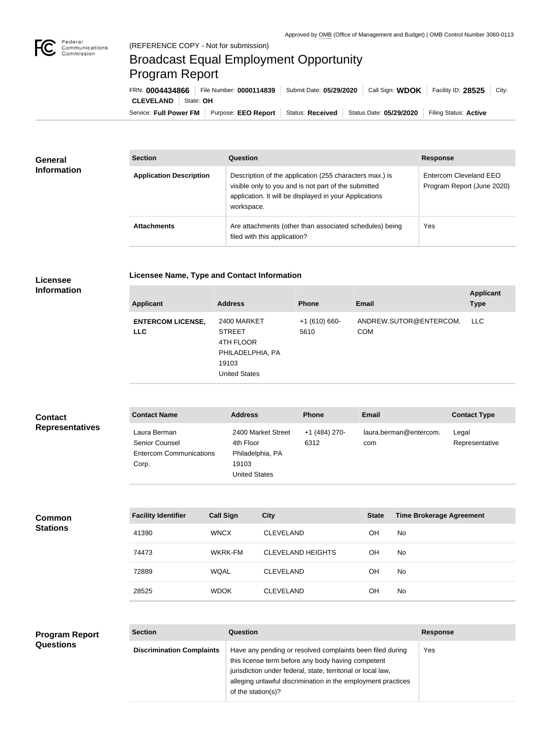

## Broadcast Equal Employment Opportunity Program Report

Service: Full Power FM Purpose: EEO Report | Status: Received | Status Date: 05/29/2020 | Filing Status: Active **CLEVELAND** State: OH FRN: **0004434866** File Number: **0000114839** Submit Date: **05/29/2020** Call Sign: **WDOK** Facility ID: **28525** City:

| <b>General</b><br><b>Information</b> | <b>Section</b>                 | Question                                                                                                                                                                                | <b>Response</b>                                      |  |
|--------------------------------------|--------------------------------|-----------------------------------------------------------------------------------------------------------------------------------------------------------------------------------------|------------------------------------------------------|--|
|                                      | <b>Application Description</b> | Description of the application (255 characters max.) is<br>visible only to you and is not part of the submitted<br>application. It will be displayed in your Applications<br>workspace. | Entercom Cleveland EEO<br>Program Report (June 2020) |  |
|                                      | <b>Attachments</b>             | Are attachments (other than associated schedules) being<br>filed with this application?                                                                                                 | Yes                                                  |  |

**Licensee Information** **Licensee Name, Type and Contact Information**

| <b>Applicant</b>                       | <b>Address</b>                                                                                 | <b>Phone</b>          | Email                                | <b>Applicant</b><br><b>Type</b> |
|----------------------------------------|------------------------------------------------------------------------------------------------|-----------------------|--------------------------------------|---------------------------------|
| <b>ENTERCOM LICENSE,</b><br><b>LLC</b> | 2400 MARKET<br><b>STREET</b><br>4TH FLOOR<br>PHILADELPHIA, PA<br>19103<br><b>United States</b> | $+1(610)660-$<br>5610 | ANDREW.SUTOR@ENTERCOM.<br><b>COM</b> | LLC                             |

| <b>Contact</b>         | <b>Contact Name</b>                                                       | <b>Address</b>                                                                       | <b>Phone</b>          | <b>Email</b>                  | <b>Contact Type</b>     |
|------------------------|---------------------------------------------------------------------------|--------------------------------------------------------------------------------------|-----------------------|-------------------------------|-------------------------|
| <b>Representatives</b> | Laura Berman<br>Senior Counsel<br><b>Entercom Communications</b><br>Corp. | 2400 Market Street<br>4th Floor<br>Philadelphia, PA<br>19103<br><b>United States</b> | +1 (484) 270-<br>6312 | laura.berman@entercom.<br>com | Legal<br>Representative |

**Common Stations**

| <b>Facility Identifier</b> | <b>Call Sign</b> | <b>City</b>              | <b>State</b> | <b>Time Brokerage Agreement</b> |
|----------------------------|------------------|--------------------------|--------------|---------------------------------|
| 41390                      | <b>WNCX</b>      | <b>CLEVELAND</b>         | ΟH           | No.                             |
| 74473                      | WKRK-FM          | <b>CLEVELAND HEIGHTS</b> | ΟH           | <b>No</b>                       |
| 72889                      | <b>WOAL</b>      | <b>CLEVELAND</b>         | OΗ           | No.                             |
| 28525                      | <b>WDOK</b>      | <b>CLEVELAND</b>         | ΟH           | <b>No</b>                       |

| <b>Program Report</b> | <b>Section</b>                   | <b>Question</b>                                                                                                                                                                                                                                                       | <b>Response</b> |
|-----------------------|----------------------------------|-----------------------------------------------------------------------------------------------------------------------------------------------------------------------------------------------------------------------------------------------------------------------|-----------------|
| <b>Questions</b>      | <b>Discrimination Complaints</b> | Have any pending or resolved complaints been filed during<br>this license term before any body having competent<br>jurisdiction under federal, state, territorial or local law,<br>alleging unlawful discrimination in the employment practices<br>of the station(s)? | <b>Yes</b>      |